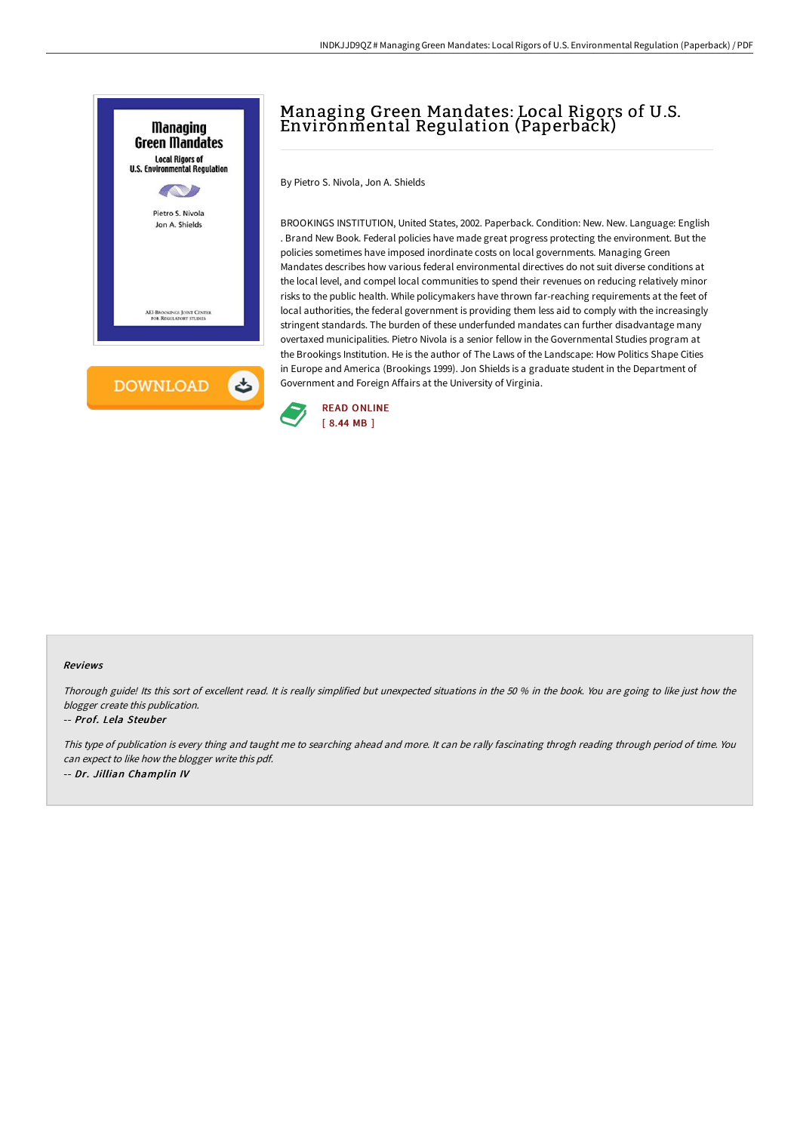

## Managing Green Mandates: Local Rigors of U.S. Environmental Regulation (Paperback)

By Pietro S. Nivola, Jon A. Shields

BROOKINGS INSTITUTION, United States, 2002. Paperback. Condition: New. New. Language: English . Brand New Book. Federal policies have made great progress protecting the environment. But the policies sometimes have imposed inordinate costs on local governments. Managing Green Mandates describes how various federal environmental directives do not suit diverse conditions at the local level, and compel local communities to spend their revenues on reducing relatively minor risks to the public health. While policymakers have thrown far-reaching requirements at the feet of local authorities, the federal government is providing them less aid to comply with the increasingly stringent standards. The burden of these underfunded mandates can further disadvantage many overtaxed municipalities. Pietro Nivola is a senior fellow in the Governmental Studies program at the Brookings Institution. He is the author of The Laws of the Landscape: How Politics Shape Cities in Europe and America (Brookings 1999). Jon Shields is a graduate student in the Department of Government and Foreign Affairs at the University of Virginia.



## Reviews

Thorough guide! Its this sort of excellent read. It is really simplified but unexpected situations in the <sup>50</sup> % in the book. You are going to like just how the blogger create this publication.

## -- Prof. Lela Steuber

This type of publication is every thing and taught me to searching ahead and more. It can be rally fascinating throgh reading through period of time. You can expect to like how the blogger write this pdf. -- Dr. Jillian Champlin IV